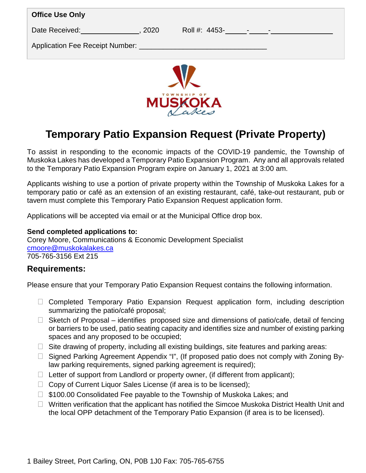| <b>Office Use Only</b>                  |               |                          |  |  |  |
|-----------------------------------------|---------------|--------------------------|--|--|--|
| Date Received:<br>2020                  | Roll #: 4453- | <b>Contract Contract</b> |  |  |  |
| Application Fee Receipt Number: _______ |               |                          |  |  |  |
|                                         |               |                          |  |  |  |



# **Temporary Patio Expansion Request (Private Property)**

To assist in responding to the economic impacts of the COVID-19 pandemic, the Township of Muskoka Lakes has developed a Temporary Patio Expansion Program. Any and all approvals related to the Temporary Patio Expansion Program expire on January 1, 2021 at 3:00 am.

Applicants wishing to use a portion of private property within the Township of Muskoka Lakes for a temporary patio or café as an extension of an existing restaurant, café, take-out restaurant, pub or tavern must complete this Temporary Patio Expansion Request application form.

Applications will be accepted via email or at the Municipal Office drop box.

## **Send completed applications to:**

Corey Moore, Communications & Economic Development Specialist [cmoore@muskokalakes.ca](mailto:cmoore@muskokalakes.ca) 705-765-3156 Ext 215

## **Requirements:**

Please ensure that your Temporary Patio Expansion Request contains the following information.

- $\Box$  Completed Temporary Patio Expansion Request application form, including description summarizing the patio/café proposal;
- $\Box$  Sketch of Proposal identifies proposed size and dimensions of patio/cafe, detail of fencing or barriers to be used, patio seating capacity and identifies size and number of existing parking spaces and any proposed to be occupied;
- $\Box$  Site drawing of property, including all existing buildings, site features and parking areas:
- □ Signed Parking Agreement Appendix "I", (If proposed patio does not comply with Zoning Bylaw parking requirements, signed parking agreement is required);
- $\Box$  Letter of support from Landlord or property owner, (if different from applicant);
- $\Box$  Copy of Current Liquor Sales License (if area is to be licensed);
- □ \$100.00 Consolidated Fee payable to the Township of Muskoka Lakes; and
- $\Box$  Written verification that the applicant has notified the Simcoe Muskoka District Health Unit and the local OPP detachment of the Temporary Patio Expansion (if area is to be licensed).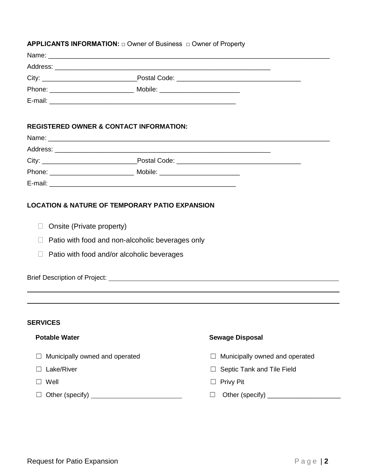### **APPLICANTS INFORMATION: □ Owner of Business □ Owner of Property**

| City: |                                  |  |
|-------|----------------------------------|--|
|       | Mobile: ________________________ |  |
|       |                                  |  |

## **REGISTERED OWNER & CONTACT INFORMATION:**

| City:   |                                  |  |
|---------|----------------------------------|--|
|         | Mobile: ________________________ |  |
| E-mail: |                                  |  |

### **LOCATION & NATURE OF TEMPORARY PATIO EXPANSION**

- $\Box$  Onsite (Private property)
- $\Box$  Patio with food and non-alcoholic beverages only
- $\Box$  Patio with food and/or alcoholic beverages

Brief Description of Project:

### **SERVICES .**

 $\overline{a}$  $\overline{a}$ 

- 
- 
- 
- ☐ Other (specify) . ☐ Other (specify) \_\_\_\_\_\_\_\_\_\_\_\_\_\_\_\_\_\_\_\_

### **Potable Water Sewage Disposal**

- ☐ Municipally owned and operated ☐ Municipally owned and operated
- ☐ Lake/River ☐ Septic Tank and Tile Field
- ☐ Well ☐ Privy Pit
	-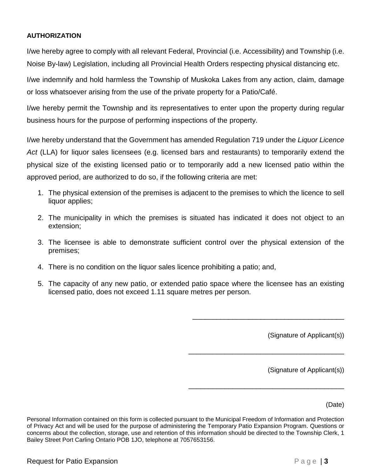## **AUTHORIZATION**

I/we hereby agree to comply with all relevant Federal, Provincial (i.e. Accessibility) and Township (i.e. Noise By-law) Legislation, including all Provincial Health Orders respecting physical distancing etc.

I/we indemnify and hold harmless the Township of Muskoka Lakes from any action, claim, damage or loss whatsoever arising from the use of the private property for a Patio/Café.

I/we hereby permit the Township and its representatives to enter upon the property during regular business hours for the purpose of performing inspections of the property.

I/we hereby understand that the Government has amended Regulation 719 under the *Liquor Licence Act* (LLA) for liquor sales licensees (e.g. licensed bars and restaurants) to temporarily extend the physical size of the existing licensed patio or to temporarily add a new licensed patio within the approved period, are authorized to do so, if the following criteria are met:

- 1. The physical extension of the premises is adjacent to the premises to which the licence to sell liquor applies;
- 2. The municipality in which the premises is situated has indicated it does not object to an extension;
- 3. The licensee is able to demonstrate sufficient control over the physical extension of the premises;
- 4. There is no condition on the liquor sales licence prohibiting a patio; and,
- 5. The capacity of any new patio, or extended patio space where the licensee has an existing licensed patio, does not exceed 1.11 square metres per person.

(Signature of Applicant(s))

\_\_\_\_\_\_\_\_\_\_\_\_\_\_\_\_\_\_\_\_\_\_\_\_\_\_\_\_\_\_\_\_\_\_\_\_\_\_

\_\_\_\_\_\_\_\_\_\_\_\_\_\_\_\_\_\_\_\_\_\_\_\_\_\_\_\_\_\_\_\_\_\_\_\_\_\_\_

\_\_\_\_\_\_\_\_\_\_\_\_\_\_\_\_\_\_\_\_\_\_\_\_\_\_\_\_\_\_\_\_\_\_\_\_\_\_\_

(Signature of Applicant(s))

(Date)

Personal Information contained on this form is collected pursuant to the Municipal Freedom of Information and Protection of Privacy Act and will be used for the purpose of administering the Temporary Patio Expansion Program. Questions or concerns about the collection, storage, use and retention of this information should be directed to the Township Clerk, 1 Bailey Street Port Carling Ontario POB 1JO, telephone at 7057653156.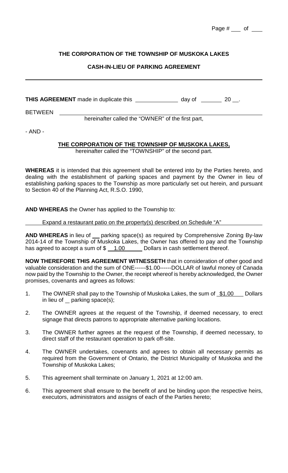| Page # | Ωt |  |
|--------|----|--|
|        |    |  |

## **THE CORPORATION OF THE TOWNSHIP OF MUSKOKA LAKES**

## **CASH-IN-LIEU OF PARKING AGREEMENT**

**THIS AGREEMENT** made in duplicate this \_\_\_\_\_\_\_\_\_\_\_\_\_\_\_\_\_\_\_ day of \_\_\_\_\_\_\_\_\_ 20 \_\_.

**BETWEEN** 

hereinafter called the "OWNER" of the first part,

- AND -

## **THE CORPORATION OF THE TOWNSHIP OF MUSKOKA LAKES,**

hereinafter called the "TOWNSHIP" of the second part.

**WHEREAS** it is intended that this agreement shall be entered into by the Parties hereto, and dealing with the establishment of parking spaces and payment by the Owner in lieu of establishing parking spaces to the Township as more particularly set out herein, and pursuant to Section 40 of the Planning Act, R.S.O. 1990,

**AND WHEREAS** the Owner has applied to the Township to:

## Expand a restaurant patio on the property(s) described on Schedule "A"

AND WHEREAS in lieu of \_\_ parking space(s) as required by Comprehensive Zoning By-law 2014-14 of the Township of Muskoka Lakes, the Owner has offered to pay and the Township has agreed to accept a sum of  $\frac{1.00}{2}$  Dollars in cash settlement thereof.

**NOW THEREFORE THIS AGREEMENT WITNESSETH** that in consideration of other good and valuable consideration and the sum of ONE------\$1.00------DOLLAR of lawful money of Canada now paid by the Township to the Owner, the receipt whereof is hereby acknowledged, the Owner promises, covenants and agrees as follows:

- 1. The OWNER shall pay to the Township of Muskoka Lakes, the sum of \$1.00 Dollars in lieu of  $\_$  parking space(s);
- 2. The OWNER agrees at the request of the Township, if deemed necessary, to erect signage that directs patrons to appropriate alternative parking locations.
- 3. The OWNER further agrees at the request of the Township, if deemed necessary, to direct staff of the restaurant operation to park off-site.
- 4. The OWNER undertakes, covenants and agrees to obtain all necessary permits as required from the Government of Ontario, the District Municipality of Muskoka and the Township of Muskoka Lakes;
- 5. This agreement shall terminate on January 1, 2021 at 12:00 am.
- 6. This agreement shall ensure to the benefit of and be binding upon the respective heirs, executors, administrators and assigns of each of the Parties hereto;